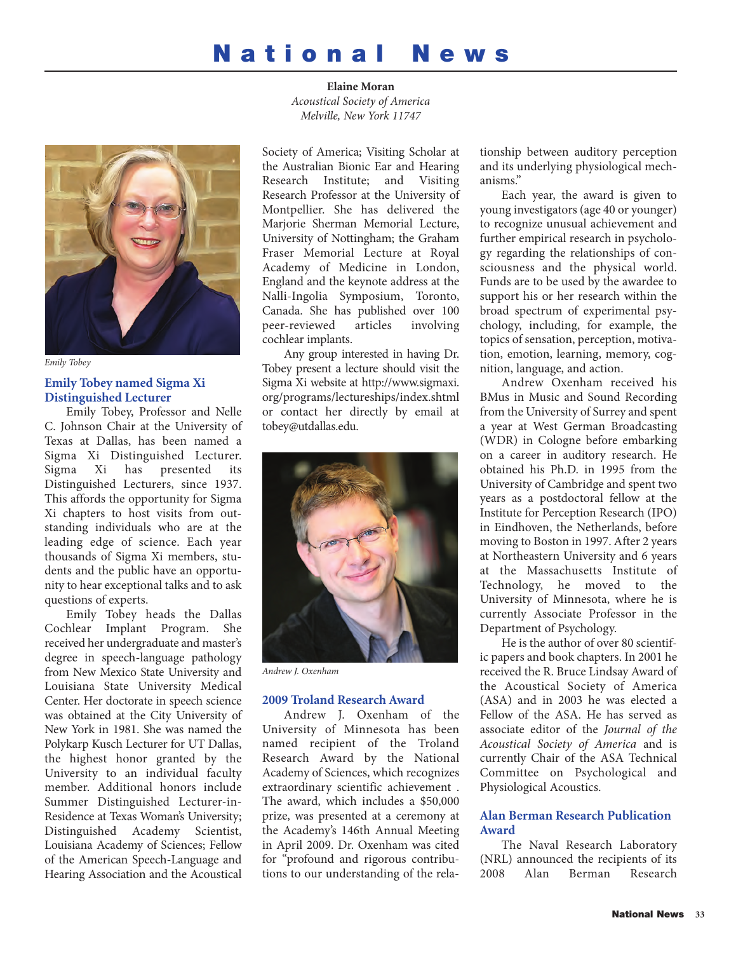# **National News**



*Emily Tobey*

# **Emily Tobey named Sigma Xi Distinguished Lecturer**

Emily Tobey, Professor and Nelle C. Johnson Chair at the University of Texas at Dallas, has been named a Sigma Xi Distinguished Lecturer. Sigma Xi has presented its Distinguished Lecturers, since 1937. This affords the opportunity for Sigma Xi chapters to host visits from outstanding individuals who are at the leading edge of science. Each year thousands of Sigma Xi members, students and the public have an opportunity to hear exceptional talks and to ask questions of experts.

Emily Tobey heads the Dallas Cochlear Implant Program. She received her undergraduate and master's degree in speech-language pathology from New Mexico State University and Louisiana State University Medical Center. Her doctorate in speech science was obtained at the City University of New York in 1981. She was named the Polykarp Kusch Lecturer for UT Dallas, the highest honor granted by the University to an individual faculty member. Additional honors include Summer Distinguished Lecturer-in-Residence at Texas Woman's University; Distinguished Academy Scientist, Louisiana Academy of Sciences; Fellow of the American Speech-Language and Hearing Association and the Acoustical

**Elaine Moran** *Acoustical Society of America Melville, New York 11747*

Society of America; Visiting Scholar at the Australian Bionic Ear and Hearing Research Institute; and Visiting Research Professor at the University of Montpellier. She has delivered the Marjorie Sherman Memorial Lecture, University of Nottingham; the Graham Fraser Memorial Lecture at Royal Academy of Medicine in London, England and the keynote address at the Nalli-Ingolia Symposium, Toronto, Canada. She has published over 100 peer-reviewed cochlear implants.

Any group interested in having Dr. Tobey present a lecture should visit the Sigma Xi website at http://www.sigmaxi. org/programs/lectureships/index.shtml or contact her directly by email at tobey@utdallas.edu.



*Andrew J. Oxenham*

# **2009 Troland Research Award**

Andrew J. Oxenham of the University of Minnesota has been named recipient of the Troland Research Award by the National Academy of Sciences, which recognizes extraordinary scientific achievement . The award, which includes a \$50,000 prize, was presented at a ceremony at the Academy's 146th Annual Meeting in April 2009. Dr. Oxenham was cited for "profound and rigorous contributions to our understanding of the relationship between auditory perception and its underlying physiological mechanisms."

Each year, the award is given to young investigators (age 40 or younger) to recognize unusual achievement and further empirical research in psychology regarding the relationships of consciousness and the physical world. Funds are to be used by the awardee to support his or her research within the broad spectrum of experimental psychology, including, for example, the topics of sensation, perception, motivation, emotion, learning, memory, cognition, language, and action.

Andrew Oxenham received his BMus in Music and Sound Recording from the University of Surrey and spent a year at West German Broadcasting (WDR) in Cologne before embarking on a career in auditory research. He obtained his Ph.D. in 1995 from the University of Cambridge and spent two years as a postdoctoral fellow at the Institute for Perception Research (IPO) in Eindhoven, the Netherlands, before moving to Boston in 1997. After 2 years at Northeastern University and 6 years at the Massachusetts Institute of Technology, he moved to the University of Minnesota, where he is currently Associate Professor in the Department of Psychology.

He is the author of over 80 scientific papers and book chapters. In 2001 he received the R. Bruce Lindsay Award of the Acoustical Society of America (ASA) and in 2003 he was elected a Fellow of the ASA. He has served as associate editor of the *Journal of the Acoustical Society of America* and is currently Chair of the ASA Technical Committee on Psychological and Physiological Acoustics.

# **Alan Berman Research Publication Award**

The Naval Research Laboratory (NRL) announced the recipients of its<br>2008 Alan Berman Research 2008 Alan Berman Research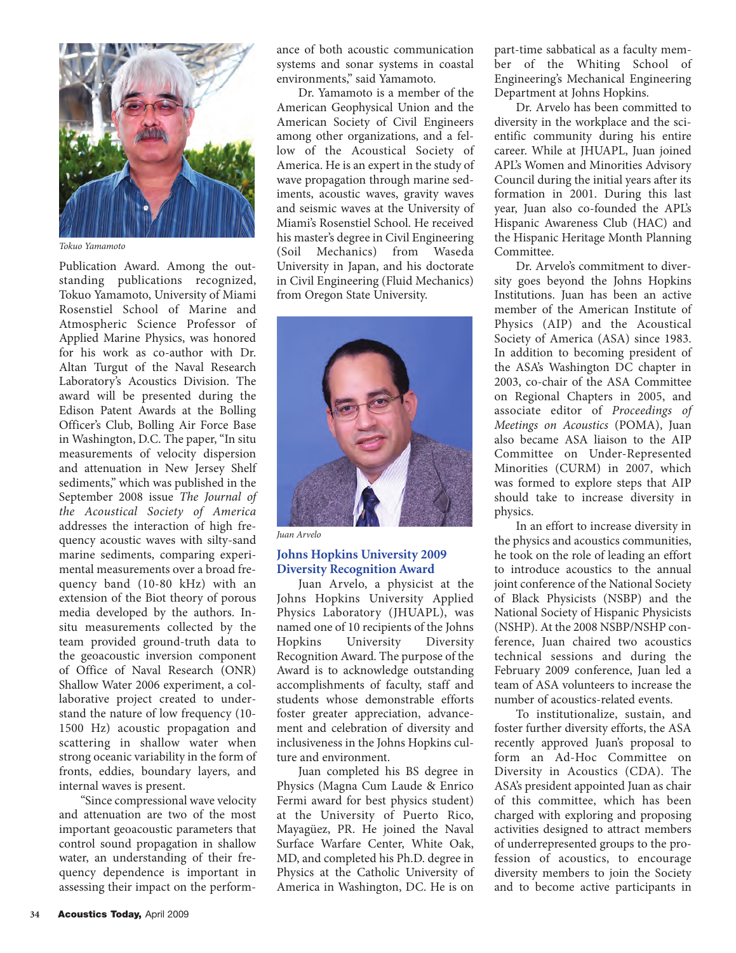

*Tokuo Yamamoto*

Publication Award. Among the outstanding publications recognized, Tokuo Yamamoto, University of Miami Rosenstiel School of Marine and Atmospheric Science Professor of Applied Marine Physics, was honored for his work as co-author with Dr. Altan Turgut of the Naval Research Laboratory's Acoustics Division. The award will be presented during the Edison Patent Awards at the Bolling Officer's Club, Bolling Air Force Base in Washington, D.C. The paper, "In situ measurements of velocity dispersion and attenuation in New Jersey Shelf sediments," which was published in the September 2008 issue *The Journal of the Acoustical Society of America* addresses the interaction of high frequency acoustic waves with silty-sand marine sediments, comparing experimental measurements over a broad frequency band (10-80 kHz) with an extension of the Biot theory of porous media developed by the authors. Insitu measurements collected by the team provided ground-truth data to the geoacoustic inversion component of Office of Naval Research (ONR) Shallow Water 2006 experiment, a collaborative project created to understand the nature of low frequency (10- 1500 Hz) acoustic propagation and scattering in shallow water when strong oceanic variability in the form of fronts, eddies, boundary layers, and internal waves is present.

"Since compressional wave velocity and attenuation are two of the most important geoacoustic parameters that control sound propagation in shallow water, an understanding of their frequency dependence is important in assessing their impact on the performance of both acoustic communication systems and sonar systems in coastal environments," said Yamamoto.

Dr. Yamamoto is a member of the American Geophysical Union and the American Society of Civil Engineers among other organizations, and a fellow of the Acoustical Society of America. He is an expert in the study of wave propagation through marine sediments, acoustic waves, gravity waves and seismic waves at the University of Miami's Rosenstiel School. He received his master's degree in Civil Engineering (Soil Mechanics) from Waseda University in Japan, and his doctorate in Civil Engineering (Fluid Mechanics) from Oregon State University.



*Juan Arvelo*

# **Johns Hopkins University 2009 Diversity Recognition Award**

Juan Arvelo, a physicist at the Johns Hopkins University Applied Physics Laboratory (JHUAPL), was named one of 10 recipients of the Johns Hopkins University Diversity Recognition Award. The purpose of the Award is to acknowledge outstanding accomplishments of faculty, staff and students whose demonstrable efforts foster greater appreciation, advancement and celebration of diversity and inclusiveness in the Johns Hopkins culture and environment.

Juan completed his BS degree in Physics (Magna Cum Laude & Enrico Fermi award for best physics student) at the University of Puerto Rico, Mayagüez, PR. He joined the Naval Surface Warfare Center, White Oak, MD, and completed his Ph.D. degree in Physics at the Catholic University of America in Washington, DC. He is on

part-time sabbatical as a faculty member of the Whiting School of Engineering's Mechanical Engineering Department at Johns Hopkins.

Dr. Arvelo has been committed to diversity in the workplace and the scientific community during his entire career. While at JHUAPL, Juan joined APL's Women and Minorities Advisory Council during the initial years after its formation in 2001. During this last year, Juan also co-founded the APL's Hispanic Awareness Club (HAC) and the Hispanic Heritage Month Planning Committee.

Dr. Arvelo's commitment to diversity goes beyond the Johns Hopkins Institutions. Juan has been an active member of the American Institute of Physics (AIP) and the Acoustical Society of America (ASA) since 1983. In addition to becoming president of the ASA's Washington DC chapter in 2003, co-chair of the ASA Committee on Regional Chapters in 2005, and associate editor of *Proceedings of Meetings on Acoustics* (POMA), Juan also became ASA liaison to the AIP Committee on Under-Represented Minorities (CURM) in 2007, which was formed to explore steps that AIP should take to increase diversity in physics.

In an effort to increase diversity in the physics and acoustics communities, he took on the role of leading an effort to introduce acoustics to the annual joint conference of the National Society of Black Physicists (NSBP) and the National Society of Hispanic Physicists (NSHP). At the 2008 NSBP/NSHP conference, Juan chaired two acoustics technical sessions and during the February 2009 conference, Juan led a team of ASA volunteers to increase the number of acoustics-related events.

To institutionalize, sustain, and foster further diversity efforts, the ASA recently approved Juan's proposal to form an Ad-Hoc Committee on Diversity in Acoustics (CDA). The ASA's president appointed Juan as chair of this committee, which has been charged with exploring and proposing activities designed to attract members of underrepresented groups to the profession of acoustics, to encourage diversity members to join the Society and to become active participants in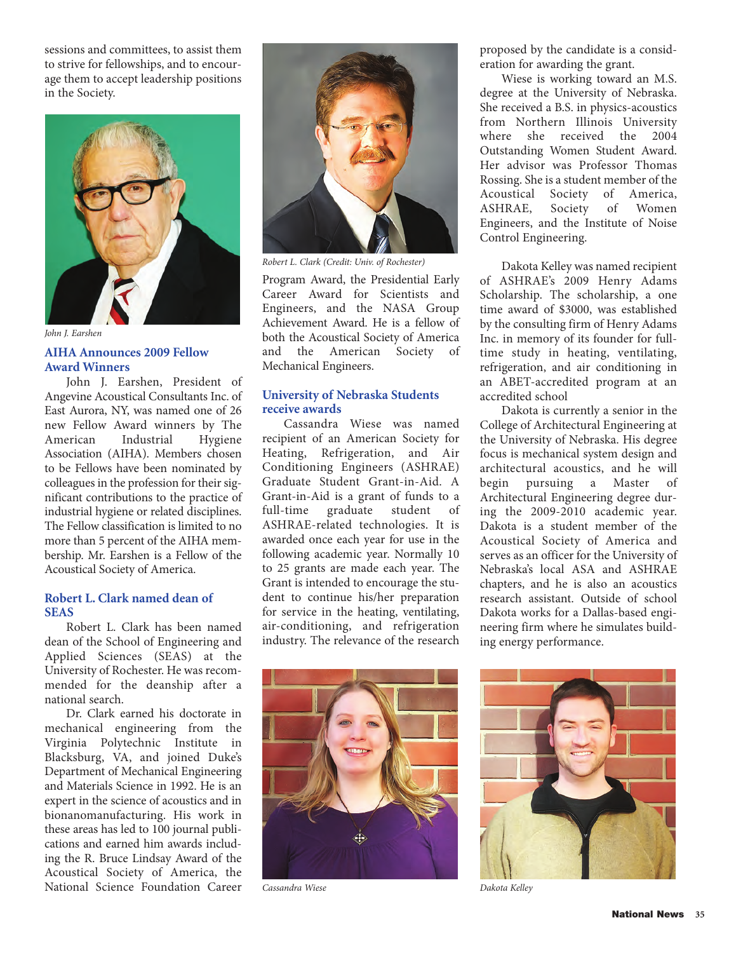sessions and committees, to assist them to strive for fellowships, and to encourage them to accept leadership positions in the Society.



*John J. Earshen*

# **AIHA Announces 2009 Fellow Award Winners**

John J. Earshen, President of Angevine Acoustical Consultants Inc. of East Aurora, NY, was named one of 26 new Fellow Award winners by The<br>American Industrial Hygiene **Industrial** Association (AIHA). Members chosen to be Fellows have been nominated by colleagues in the profession for their significant contributions to the practice of industrial hygiene or related disciplines. The Fellow classification is limited to no more than 5 percent of the AIHA membership. Mr. Earshen is a Fellow of the Acoustical Society of America.

#### **Robert L. Clark named dean of SEAS**

Robert L. Clark has been named dean of the School of Engineering and Applied Sciences (SEAS) at the University of Rochester. He was recommended for the deanship after a national search.

Dr. Clark earned his doctorate in mechanical engineering from the Virginia Polytechnic Institute in Blacksburg, VA, and joined Duke's Department of Mechanical Engineering and Materials Science in 1992. He is an expert in the science of acoustics and in bionanomanufacturing. His work in these areas has led to 100 journal publications and earned him awards including the R. Bruce Lindsay Award of the Acoustical Society of America, the National Science Foundation Career



*Robert L. Clark (Credit: Univ. of Rochester)*

Program Award, the Presidential Early Career Award for Scientists and Engineers, and the NASA Group Achievement Award. He is a fellow of both the Acoustical Society of America and the American Society of Mechanical Engineers.

# **University of Nebraska Students receive awards**

Cassandra Wiese was named recipient of an American Society for Heating, Refrigeration, and Air Conditioning Engineers (ASHRAE) Graduate Student Grant-in-Aid. A Grant-in-Aid is a grant of funds to a full-time graduate student of ASHRAE-related technologies. It is awarded once each year for use in the following academic year. Normally 10 to 25 grants are made each year. The Grant is intended to encourage the student to continue his/her preparation for service in the heating, ventilating, air-conditioning, and refrigeration industry. The relevance of the research proposed by the candidate is a consideration for awarding the grant.

Wiese is working toward an M.S. degree at the University of Nebraska. She received a B.S. in physics-acoustics from Northern Illinois University where she received the 2004 Outstanding Women Student Award. Her advisor was Professor Thomas Rossing. She is a student member of the Acoustical Society of America,<br>ASHRAE, Society of Women ASHRAE, Engineers, and the Institute of Noise Control Engineering.

Dakota Kelley was named recipient of ASHRAE's 2009 Henry Adams Scholarship. The scholarship, a one time award of \$3000, was established by the consulting firm of Henry Adams Inc. in memory of its founder for fulltime study in heating, ventilating, refrigeration, and air conditioning in an ABET-accredited program at an accredited school

Dakota is currently a senior in the College of Architectural Engineering at the University of Nebraska. His degree focus is mechanical system design and architectural acoustics, and he will begin pursuing a Master of Architectural Engineering degree during the 2009-2010 academic year. Dakota is a student member of the Acoustical Society of America and serves as an officer for the University of Nebraska's local ASA and ASHRAE chapters, and he is also an acoustics research assistant. Outside of school Dakota works for a Dallas-based engineering firm where he simulates building energy performance.



*Cassandra Wiese Dakota Kelley*

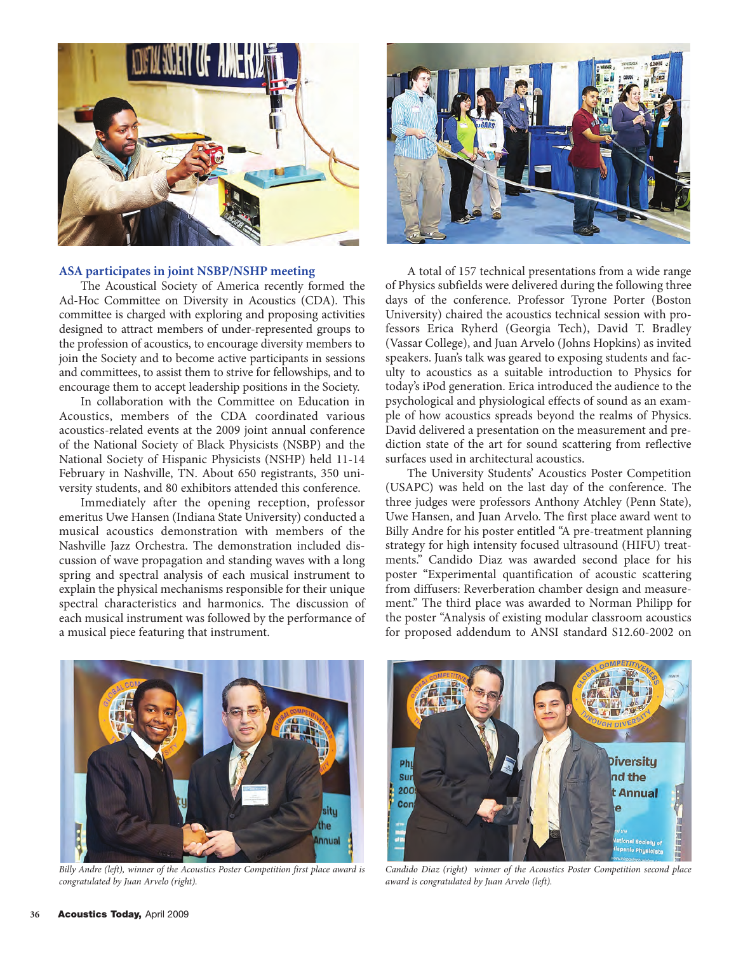

#### **ASA participates in joint NSBP/NSHP meeting**

The Acoustical Society of America recently formed the Ad-Hoc Committee on Diversity in Acoustics (CDA). This committee is charged with exploring and proposing activities designed to attract members of under-represented groups to the profession of acoustics, to encourage diversity members to join the Society and to become active participants in sessions and committees, to assist them to strive for fellowships, and to encourage them to accept leadership positions in the Society.

In collaboration with the Committee on Education in Acoustics, members of the CDA coordinated various acoustics-related events at the 2009 joint annual conference of the National Society of Black Physicists (NSBP) and the National Society of Hispanic Physicists (NSHP) held 11-14 February in Nashville, TN. About 650 registrants, 350 university students, and 80 exhibitors attended this conference.

Immediately after the opening reception, professor emeritus Uwe Hansen (Indiana State University) conducted a musical acoustics demonstration with members of the Nashville Jazz Orchestra. The demonstration included discussion of wave propagation and standing waves with a long spring and spectral analysis of each musical instrument to explain the physical mechanisms responsible for their unique spectral characteristics and harmonics. The discussion of each musical instrument was followed by the performance of a musical piece featuring that instrument.



A total of 157 technical presentations from a wide range of Physics subfields were delivered during the following three days of the conference. Professor Tyrone Porter (Boston University) chaired the acoustics technical session with professors Erica Ryherd (Georgia Tech), David T. Bradley (Vassar College), and Juan Arvelo (Johns Hopkins) as invited speakers. Juan's talk was geared to exposing students and faculty to acoustics as a suitable introduction to Physics for today's iPod generation. Erica introduced the audience to the psychological and physiological effects of sound as an example of how acoustics spreads beyond the realms of Physics. David delivered a presentation on the measurement and prediction state of the art for sound scattering from reflective surfaces used in architectural acoustics.

The University Students' Acoustics Poster Competition (USAPC) was held on the last day of the conference. The three judges were professors Anthony Atchley (Penn State), Uwe Hansen, and Juan Arvelo. The first place award went to Billy Andre for his poster entitled "A pre-treatment planning strategy for high intensity focused ultrasound (HIFU) treatments." Candido Diaz was awarded second place for his poster "Experimental quantification of acoustic scattering from diffusers: Reverberation chamber design and measurement." The third place was awarded to Norman Philipp for the poster "Analysis of existing modular classroom acoustics for proposed addendum to ANSI standard S12.60-2002 on



*Billy Andre (left), winner of the Acoustics Poster Competition first place award is congratulated by Juan Arvelo (right).*



*Candido Diaz (right) winner of the Acoustics Poster Competition second place award is congratulated by Juan Arvelo (left).*